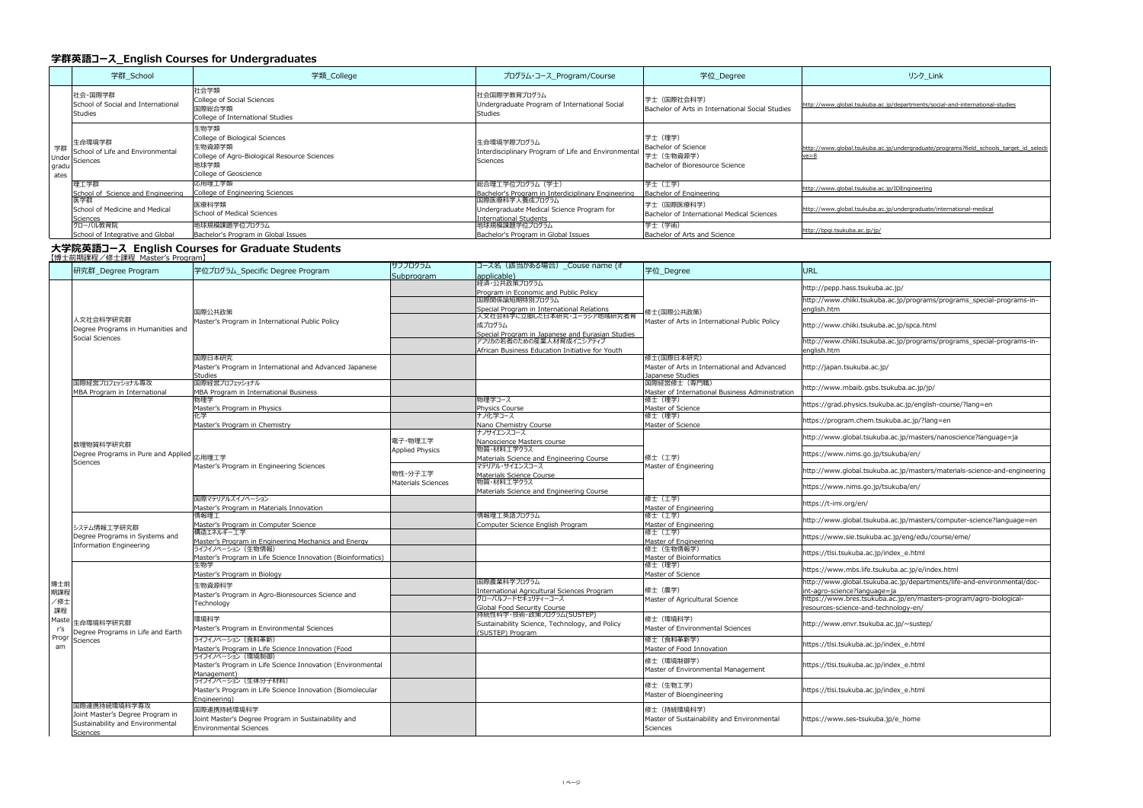## **学群英語コース English Courses for Undergraduates**

|               | 学群 School                                                                     | 学類_College                                                                                                                         | プログラム・コース_Program/Course                                                                      | 学位_Degree                                                                              | リンク Link                                                   |  |  |  |  |
|---------------|-------------------------------------------------------------------------------|------------------------------------------------------------------------------------------------------------------------------------|-----------------------------------------------------------------------------------------------|----------------------------------------------------------------------------------------|------------------------------------------------------------|--|--|--|--|
| gradu<br>ates | 社会・国際学群 <br>School of Social and International<br>Studies                     | 社会学類<br>College of Social Sciences<br>国際総合学類<br>College of International Studies                                                   | 社会国際学教育プログラム <br>Undergraduate Program of International Social<br>Studies                     | 学士 (国際社会科学)<br>Bachelor of Arts in International Social Studies                        | http://www.global.tsukuba.ac.jp/departments/social         |  |  |  |  |
|               | 生命環境学群<br>$\frac{1}{1}$ 学群 School of Life and Environmental<br>Under Sciences | 生物学類<br>College of Biological Sciences<br> 生物資源学類<br>College of Agro-Biological Resource Sciences<br>地球学類<br>College of Geoscience | 生命環境学際プログラム<br>Interdisciplinary Program of Life and Environmental<br>Sciences                | 学士 (理学)<br><b>Bachelor of Science</b><br>学士 (生物資源学)<br>Bachelor of Bioresource Science | http://www.global.tsukuba.ac.jp/undergraduate/pr<br>$ve=8$ |  |  |  |  |
|               | 埋工学群<br>School of Science and Engineering                                     | 応用理工学類<br>College of Engineering Sciences                                                                                          | 総合理工学位プログラム(学士)<br>Bachelor's Program in Interdiciplinary Engineering                         | 学士(工学)<br>Bachelor of Engineering                                                      | http://www.global.tsukuba.ac.jp/IDEngineering              |  |  |  |  |
|               | 医学群 <br>School of Medicine and Medical<br>Sciences                            | 医療科学類<br><b>School of Medical Sciences</b>                                                                                         | 国際医療科学人養成プログラム <br>Undergraduate Medical Science Program for<br><b>International Students</b> | 学士 (国際医療科学)<br>Bachelor of International Medical Sciences                              | http://www.global.tsukuba.ac.jp/undergraduate/int          |  |  |  |  |
|               | グローバル教育院 <br>School of Integrative and Global                                 | 地球規模課題学位プログラム<br>Bachelor's Program in Global Issues                                                                               | 地球規模課題学位プログラム <br>Bachelor's Program in Global Issues                                         | 学士 (学術)<br>Bachelor of Arts and Science                                                | http://bpgi.tsukuba.ac.jp/jp/                              |  |  |  |  |

|                         | 【博士前期課程/修士課程_Master's Program】                                                                   |                                                                                                    |                                   |                                                                                                                                                                                                                                                                                                   |                                                                                |                                                                      |
|-------------------------|--------------------------------------------------------------------------------------------------|----------------------------------------------------------------------------------------------------|-----------------------------------|---------------------------------------------------------------------------------------------------------------------------------------------------------------------------------------------------------------------------------------------------------------------------------------------------|--------------------------------------------------------------------------------|----------------------------------------------------------------------|
|                         | 研究群_Degree Program                                                                               | 学位プログラム_Specific Degree Program                                                                    | サブプログラム<br>Subprogram             | コース名(該当がある場合)_Couse name (if<br>applicable)                                                                                                                                                                                                                                                       | 学位_Degree                                                                      | <b>URL</b>                                                           |
|                         | 人文社会科学研究群<br>Degree Programs in Humanities and<br>Social Sciences                                | 国際公共政策<br>Master's Program in International Public Policy                                          |                                   | 経済・公共政策プログラム<br>Program in Economic and Public Policy<br>国際関係論短期特別プログラム<br>Special Program in International Relations<br>人文社会科学に立脚した日本研究・ユーラシア地域研究者育<br>成プログラム<br>Special Program in Japanese and Eurasian Studies<br>アフリカの若者のための産業人材育成イニシアティブ<br>African Business Education Initiative for Youth | 修士(国際公共政策)<br>Master of Arts in International Public Policy                    | http://p<br>http://w<br>english.<br>http://w<br>http://w<br>english. |
|                         |                                                                                                  | 国際日本研究<br>Master's Program in International and Advanced Japanese<br><b>Studies</b>                |                                   |                                                                                                                                                                                                                                                                                                   | 修士(国際日本研究)<br>Master of Arts in International and Advanced<br>Japanese Studies | http://ja                                                            |
|                         | 国際経営プロフェッショナル専攻<br>MBA Program in International                                                  | 国際経営プロフェッショナル<br>MBA Program in International Business                                             |                                   |                                                                                                                                                                                                                                                                                                   | 国際経営修士(専門職)<br>Master of International Business Administration                 | http://w                                                             |
|                         |                                                                                                  | 物理学<br>Master's Program in Physics                                                                 |                                   | 物理学コース<br>Physics Course                                                                                                                                                                                                                                                                          | 修士(理学)<br>Master of Science                                                    | https://                                                             |
|                         |                                                                                                  | 化学<br>Master's Program in Chemistry                                                                |                                   | ナノ化学コース<br>Nano Chemistry Course                                                                                                                                                                                                                                                                  | 修士(理学)<br>Master of Science                                                    | https://                                                             |
|                         | 数理物質科学研究群 <br>Degree Programs in Pure and Applied  応用理工学<br>Sciences                             | Master's Program in Engineering Sciences                                                           | 電子·物理工学<br><b>Applied Physics</b> | ナノサイエンスコース<br>Nanoscience Masters course<br> 物質・材料工学クラス <br>Materials Science and Engineering Course<br>マテリアル・サイエンスコース                                                                                                                                                                            | 修士(工学)<br>Master of Engineering                                                | http://w<br>https://                                                 |
|                         |                                                                                                  |                                                                                                    | 物性・分子工学 <br>Materials Sciences    | Materials Science Course<br> 物質・材料工学クラス<br>Materials Science and Engineering Course                                                                                                                                                                                                               |                                                                                | http://w<br>https://                                                 |
|                         |                                                                                                  | 国際マテリアルズイノベーション<br>Master's Program in Materials Innovation                                        |                                   |                                                                                                                                                                                                                                                                                                   | 修士 (工学)<br>Master of Engineering                                               | https://                                                             |
|                         | システム情報工学研究群<br>Degree Programs in Systems and<br>Information Engineering                         | 情報理工<br>Master's Program in Computer Science                                                       |                                   | 情報理工英語プログラム<br>Computer Science English Program                                                                                                                                                                                                                                                   | 修士(工学)<br>Master of Engineering                                                | http://w                                                             |
|                         |                                                                                                  | 構造エネルギー工学 <br>Master's Program in Engineering Mechanics and Energy                                 |                                   |                                                                                                                                                                                                                                                                                                   | 修士 (工学)<br>Master of Engineering                                               | https://                                                             |
|                         |                                                                                                  | ライフイノベーション (生物情報)<br>Master's Program in Life Science Innovation (Bioinformatics)                  |                                   |                                                                                                                                                                                                                                                                                                   | 修士(生物情報学)<br>Master of Bioinformatics                                          | https://                                                             |
|                         | Degree Programs in Life and Earth<br>Progr Sciences                                              | 生物学<br>Master's Program in Biology                                                                 |                                   |                                                                                                                                                                                                                                                                                                   | 修士(理学)<br>Master of Science                                                    | https://                                                             |
| 博士前<br>期課程<br>/修士<br>課程 |                                                                                                  | 生物資源科学<br>Master's Program in Agro-Bioresources Science and<br>Technology                          |                                   | 国際農業科学プログラム<br><b>International Agricultural Sciences Program</b><br> グローバルフードセキュリティーコース<br>Global Food Security Course                                                                                                                                                                           | 修士(農学)<br>Master of Agricultural Science                                       | http://w<br>int-agro<br>https://<br>resource                         |
| r's                     |                                                                                                  | 環境科学<br>Master's Program in Environmental Sciences                                                 |                                   | 持続性科学・技術・政策プログラム(SUSTEP) <br>Sustainability Science, Technology, and Policy<br>(SUSTEP) Program                                                                                                                                                                                                   | 修士 (環境科学)<br>Master of Environmental Sciences                                  | http://w                                                             |
| am                      |                                                                                                  | ライフイノベーション (食料革新)<br>Master's Program in Life Science Innovation (Food                             |                                   |                                                                                                                                                                                                                                                                                                   | 修士(食料革新学)<br>Master of Food Innovation                                         | https://                                                             |
|                         |                                                                                                  | ライフイノベーション (環境制御)<br>Master's Program in Life Science Innovation (Environmental<br>Management)     |                                   |                                                                                                                                                                                                                                                                                                   | 修士(環境制御学)<br>Master of Environmental Management                                | https://                                                             |
|                         |                                                                                                  | ライフイノベーション(生体分子材料)<br>Master's Program in Life Science Innovation (Biomolecular<br>Engineering)    |                                   |                                                                                                                                                                                                                                                                                                   | 修士(生物工学)<br>Master of Bioengineering                                           | https://                                                             |
|                         | 国際連携持続環境科学専攻<br>Joint Master's Degree Program in<br>Sustainability and Environmental<br>Sciences | 国際連携持続環境科学<br>Joint Master's Degree Program in Sustainability and<br><b>Environmental Sciences</b> |                                   |                                                                                                                                                                                                                                                                                                   | 修士(持続環境科学)<br>Master of Sustainability and Environmental<br>Sciences           | https://                                                             |

## **大学院英語コース English Courses for Graduate Students**

ww.global.tsukuba.ac.jp/departments/social-and-international-studies

ww.global.tsukuba.ac.jp/undergraduate/programs?field\_schools\_target\_id\_selecti

ww.global.tsukuba.ac.jp/undergraduate/international-medical

pepp.hass.tsukuba.ac.jp/ www.chiiki.tsukuba.ac.jp/programs/programs\_special-programs-in-.htm www.chiiki.tsukuba.ac.jp/spca.html www.chiiki.tsukuba.ac.jp/programs/programs\_special-programs-inhtm japan.tsukuba.ac.jp/ www.mbaib.gsbs.tsukuba.ac.jp/jp/ /grad.physics.tsukuba.ac.jp/english-course/?lang=en /program.chem.tsukuba.ac.jp/?lang=en www.global.tsukuba.ac.jp/masters/nanoscience?language=ja /www.nims.go.jp/tsukuba/en/ www.global.tsukuba.ac.jp/masters/materials-science-and-engineering /www.nims.go.jp/tsukuba/en/ /t-imi.org/en/ www.global.tsukuba.ac.jp/masters/computer-science?language=en /www.sie.tsukuba.ac.jp/eng/edu/course/eme/ /tlsi.tsukuba.ac.jp/index\_e.html /www.mbs.life.tsukuba.ac.jp/e/index.html www.global.tsukuba.ac.jp/departments/life-and-environmental/doco-science?language=ja /www.bres.tsukuba.ac.jp/en/masters-program/agro-biologicalres-science-and-technology-en/ www.envr.tsukuba.ac.jp/~sustep/ /tlsi.tsukuba.ac.jp/index\_e.html /tlsi.tsukuba.ac.jp/index\_e.html /tlsi.tsukuba.ac.jp/index\_e.html /www.ses-tsukuba.jp/e\_home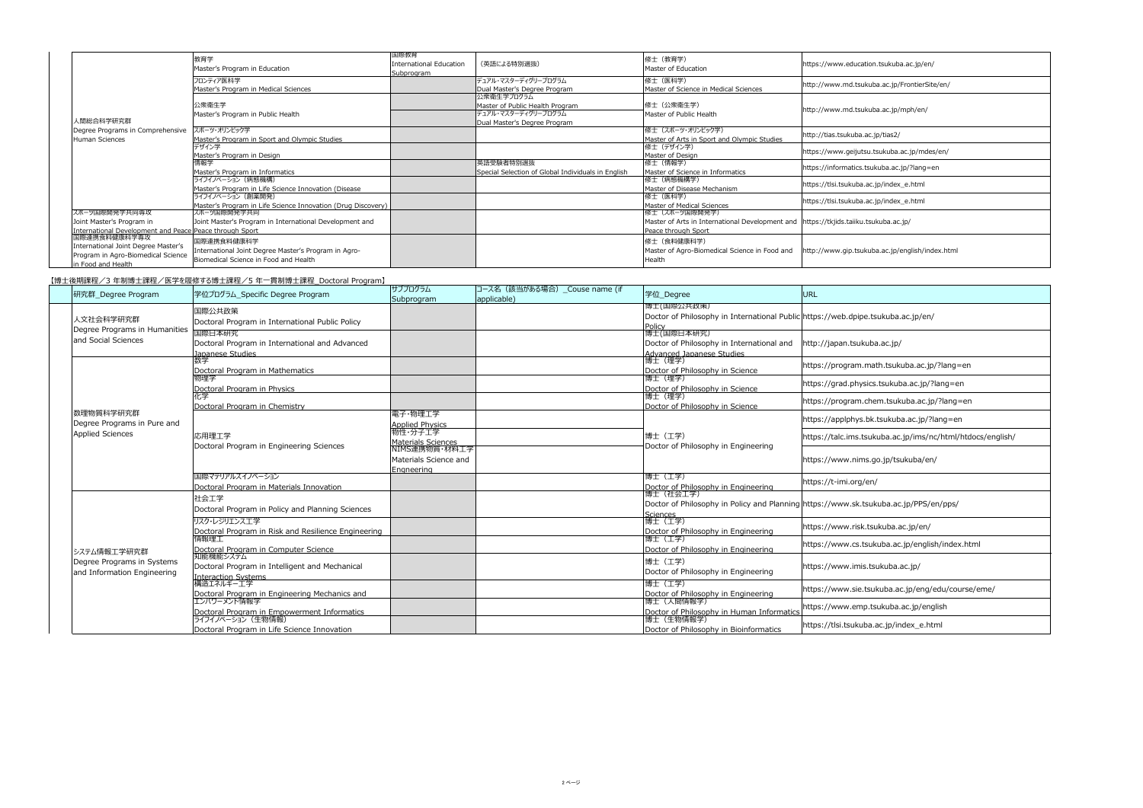【博士後期課程/3 年制博士課程/医学を履修する博士課程/5 年一貫制博士課程\_Doctoral Program】

|                                                                         | 教育学<br>Master's Program in Education                         | 国際教育<br><b>International Education</b><br>Subprogram | (英語による特別選抜)                                        | 修士 (教育学)<br>Master of Education                                                        | https://www.education.tsukuba.ac.jp/en/         |
|-------------------------------------------------------------------------|--------------------------------------------------------------|------------------------------------------------------|----------------------------------------------------|----------------------------------------------------------------------------------------|-------------------------------------------------|
|                                                                         | フロンティア医科学                                                    |                                                      | デュアル・マスターディグリープログラム                                | 修士 (医科学)                                                                               | http://www.md.tsukuba.ac.jp/FrontierSite/en/    |
|                                                                         | Master's Program in Medical Sciences                         |                                                      | Dual Master's Degree Program                       | Master of Science in Medical Sciences                                                  |                                                 |
|                                                                         |                                                              |                                                      | 公衆衛生学プログラム                                         |                                                                                        |                                                 |
|                                                                         | 公衆衛生学                                                        |                                                      | Master of Public Health Program                    | 修士(公衆衛生学)                                                                              | http://www.md.tsukuba.ac.jp/mph/en/             |
|                                                                         | Master's Program in Public Health                            |                                                      | デュアル・マスターディグリープログラム                                | Master of Public Health                                                                |                                                 |
| 人間総合科学研究群                                                               |                                                              |                                                      | Dual Master's Degree Program                       |                                                                                        |                                                 |
| Degree Programs in Comprehensive                                        | スポーツ・オリンピック学                                                 |                                                      |                                                    | 修士 (スポーツ・オリンピック学)                                                                      |                                                 |
| Human Sciences                                                          | Master's Program in Sport and Olympic Studies                |                                                      |                                                    | Master of Arts in Sport and Olympic Studies                                            | http://tias.tsukuba.ac.jp/tias2/                |
|                                                                         | デザイン学                                                        |                                                      |                                                    | 修士(デザイン学)                                                                              |                                                 |
|                                                                         | Master's Program in Design                                   |                                                      |                                                    | Master of Design                                                                       | https://www.geijutsu.tsukuba.ac.jp/mdes/en/     |
|                                                                         | 情報学                                                          |                                                      | 英語受験者特別選抜                                          | 修士 (情報学)                                                                               |                                                 |
|                                                                         | Master's Program in Informatics                              |                                                      | Special Selection of Global Individuals in English | Master of Science in Informatics                                                       | https://informatics.tsukuba.ac.jp/?lang=en      |
|                                                                         | ライフイノベーション (病態機構)                                            |                                                      |                                                    | 修士(病態機構学)                                                                              |                                                 |
|                                                                         | Master's Program in Life Science Innovation (Disease         |                                                      |                                                    | Master of Disease Mechanism                                                            | https://tlsi.tsukuba.ac.jp/index_e.html         |
|                                                                         | ライフイノベーション(創薬開発)                                             |                                                      |                                                    | 修士 (医科学)                                                                               |                                                 |
|                                                                         | Master's Program in Life Science Innovation (Drug Discovery) |                                                      |                                                    | Master of Medical Sciences                                                             | https://tlsi.tsukuba.ac.jp/index_e.html         |
| スポーツ国際開発学共同専攻                                                           | スポーツ国際開発学共同                                                  |                                                      |                                                    | 修士 (スポーツ国際開発学)                                                                         |                                                 |
| Joint Master's Program in                                               | Joint Master's Program in International Development and      |                                                      |                                                    | Master of Arts in International Development and   https://tkjids.taiiku.tsukuba.ac.jp/ |                                                 |
| International Development and Peace Peace through Sport<br>国際連携食料健康科学専攻 |                                                              |                                                      |                                                    | Peace through Sport                                                                    |                                                 |
|                                                                         | 国際連携食料健康科学                                                   |                                                      |                                                    | 修士 (食料健康科学)                                                                            |                                                 |
| International Joint Degree Master's                                     |                                                              |                                                      |                                                    |                                                                                        |                                                 |
| Program in Agro-Biomedical Science                                      | International Joint Degree Master's Program in Agro-         |                                                      |                                                    | Master of Agro-Biomedical Science in Food and                                          | http://www.gip.tsukuba.ac.jp/english/index.html |
| in Food and Health                                                      | Biomedical Science in Food and Health                        |                                                      |                                                    | Health                                                                                 |                                                 |

| 研究群_Degree Program                                        | 学位プログラム_Specific Degree Program                                                      | サブプログラム<br>Subprogram                          | コース名 (該当がある場合) _Couse name (if<br>applicable) | 学位_Degree                                                                                      | <b>URL</b>                                                                           |
|-----------------------------------------------------------|--------------------------------------------------------------------------------------|------------------------------------------------|-----------------------------------------------|------------------------------------------------------------------------------------------------|--------------------------------------------------------------------------------------|
| 人文社会科学研究群<br>Degree Programs in Humanities                | 国際公共政策<br>Doctoral Program in International Public Policy                            |                                                |                                               | 博士(国際公共政策)<br>Doctor of Philosophy in International Public https://web.dpipe.tsukuba.ac.jp/en/ |                                                                                      |
| and Social Sciences                                       | 国際日本研究<br>Doctoral Program in International and Advanced<br><u>Japanese Studies </u> |                                                |                                               | <u> Policy</u><br> 博士(国際日本研究)<br>Doctor of Philosophy in International and                     | http://japan.tsukuba.ac.jp/                                                          |
|                                                           | Doctoral Program in Mathematics                                                      |                                                |                                               | Advanced Japanese Studies<br> 博士(理学)<br>Doctor of Philosophy in Science                        | https://program.math.tsukuba.ac.jp/?lang=en                                          |
|                                                           | 物理学<br>Doctoral Program in Physics                                                   |                                                |                                               | 博士(理学)<br>Doctor of Philosophy in Science                                                      | https://grad.physics.tsukuba.ac.jp/?lang=en                                          |
|                                                           | Doctoral Program in Chemistry                                                        |                                                |                                               | 博士 (理学)<br>Doctor of Philosophy in Science                                                     | https://program.chem.tsukuba.ac.jp/?lang=en                                          |
| 数理物質科学研究群 <br>Degree Programs in Pure and                 |                                                                                      | 電子・物理工学<br>Applied Physics                     |                                               |                                                                                                | https://applphys.bk.tsukuba.ac.jp/?lang=en                                           |
| <b>Applied Sciences</b>                                   | 応用理工学                                                                                | 物性・分子工学<br>Materials Sciences<br>NIMS連携物質・材料工学 |                                               | 博士 (工学)                                                                                        | https://talc.ims.tsukuba.ac.jp/ims/nc/html/htdocs/english/                           |
|                                                           | Doctoral Program in Engineering Sciences                                             | Materials Science and<br><u> Enaneerina_</u>   |                                               | Doctor of Philosophy in Engineering                                                            | https://www.nims.go.jp/tsukuba/en/                                                   |
|                                                           | 国際マテリアルズイノベーション<br>Doctoral Program in Materials Innovation                          |                                                |                                               | 博士 (工学)<br>Doctor of Philosophy in Engineering                                                 | https://t-imi.org/en/                                                                |
|                                                           | 社会工学<br>Doctoral Program in Policy and Planning Sciences                             |                                                |                                               | 博士(社会工学)                                                                                       | Doctor of Philosophy in Policy and Planning https://www.sk.tsukuba.ac.jp/PPS/en/pps/ |
|                                                           | リスク・レジリエンス工学<br>Doctoral Program in Risk and Resilience Engineering                  |                                                |                                               | <u> Sciences<br/> </u> 博士(工学)<br>Doctor of Philosophy in Engineering                           | https://www.risk.tsukuba.ac.jp/en/                                                   |
| システム情報工学研究群                                               | 情報理工<br>Doctoral Program in Computer Science<br>知能機能システム                             |                                                |                                               | 博士(工学)<br>Doctor of Philosophy in Engineering                                                  | https://www.cs.tsukuba.ac.jp/english/index.html                                      |
| Degree Programs in Systems<br>and Information Engineering | Doctoral Program in Intelligent and Mechanical                                       |                                                |                                               | 博士(工学)<br>Doctor of Philosophy in Engineering                                                  | https://www.imis.tsukuba.ac.jp/                                                      |
|                                                           | Interaction Systems<br> 構造エネルギー工学<br>Doctoral Program in Engineering Mechanics and   |                                                |                                               | 博士 (工学)<br>Doctor of Philosophy in Engineering                                                 | https://www.sie.tsukuba.ac.jp/eng/edu/course/eme/                                    |
|                                                           | エンパワーメント情報学<br>Doctoral Program in Empowerment Informatics                           |                                                |                                               | 博士(人間情報学)<br>Doctor of Philosophy in Human Informatics                                         | https://www.emp.tsukuba.ac.jp/english                                                |
|                                                           | ライフイノベーション (生物情報)<br>Doctoral Program in Life Science Innovation                     |                                                |                                               | 博士(生物情報学)<br>Doctor of Philosophy in Bioinformatics                                            | https://tlsi.tsukuba.ac.jp/index_e.html                                              |